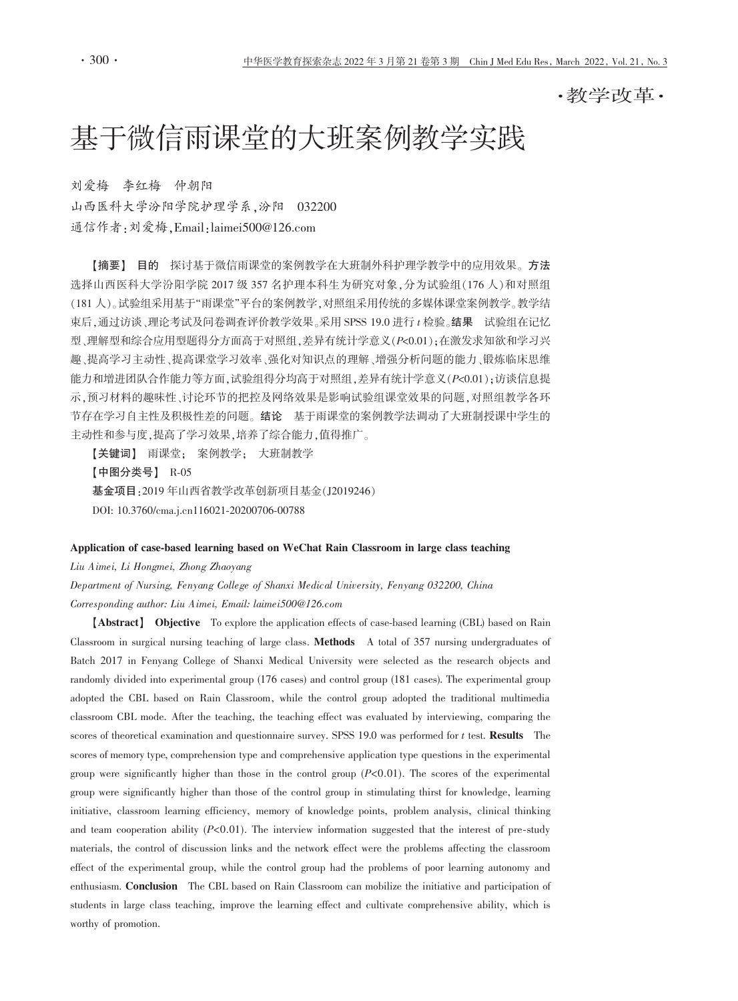・教学改革・

# 基于微信雨课堂的大班案例教学实践

刘爱梅 李红梅 仲朝阳 山西医科大学汾阳学院护理学系,汾阳 032200 通信作者: 刘爱梅. Email: laimei500@126.com

【摘要】 目的 探讨基于微信雨课堂的案例教学在大班制外科护理学教学中的应用效果。方法 选择山西医科大学汾阳学院 2017 级 357 名护理本科生为研究对象,分为试验组(176人)和对照组 (181人)。试验组采用基于"雨课堂"平台的案例教学,对照组采用传统的多媒体课堂案例教学。教学结 束后,通过访谈,理论考试及问卷调查评价教学效果。采用 SPSS 19.0 进行 t 检验。结果 试验组在记忆 型、理解型和综合应用型题得分方面高于对照组,差异有统计学意义(P<0.01);在激发求知欲和学习兴 趣、提高学习主动性、提高课堂学习效率、强化对知识点的理解、增强分析问题的能力、锻炼临床思维 能力和增进团队合作能力等方面,试验组得分均高于对照组,差异有统计学意义(P<0.01);访谈信息提 示,预习材料的趣味性、讨论环节的把控及网络效果是影响试验组课堂效果的问题,对照组教学各环 节存在学习自主性及积极性差的问题。结论 基于雨课堂的案例教学法调动了大班制授课中学生的 主动性和参与度,提高了学习效果,培养了综合能力,值得推广。

【关键词】 雨课堂: 案例教学: 大班制教学 【中图分类号】 R-05 基金项目: 2019年山西省教学改革创新项目基金(J2019246) DOI: 10.3760/cma.j.cn116021-20200706-00788

#### Application of case-based learning based on WeChat Rain Classroom in large class teaching

Liu Aimei, Li Hongmei, Zhong Zhaoyang

Department of Nursing, Fenyang College of Shanxi Medical University, Fenyang 032200, China Corresponding author: Liu Aimei, Email: laimei500@126.com

[Abstract] Objective To explore the application effects of case-based learning (CBL) based on Rain Classroom in surgical nursing teaching of large class. Methods A total of 357 nursing undergraduates of Batch 2017 in Fenyang College of Shanxi Medical University were selected as the research objects and randomly divided into experimental group (176 cases) and control group (181 cases). The experimental group adopted the CBL based on Rain Classroom, while the control group adopted the traditional multimedia classroom CBL mode. After the teaching, the teaching effect was evaluated by interviewing, comparing the scores of theoretical examination and questionnaire survey. SPSS 19.0 was performed for  $t$  test. Results The scores of memory type, comprehension type and comprehensive application type questions in the experimental group were significantly higher than those in the control group  $(P<0.01)$ . The scores of the experimental group were significantly higher than those of the control group in stimulating thirst for knowledge, learning initiative, classroom learning efficiency, memory of knowledge points, problem analysis, clinical thinking and team cooperation ability  $(P<0.01)$ . The interview information suggested that the interest of pre-study materials, the control of discussion links and the network effect were the problems affecting the classroom effect of the experimental group, while the control group had the problems of poor learning autonomy and enthusiasm. Conclusion The CBL based on Rain Classroom can mobilize the initiative and participation of students in large class teaching, improve the learning effect and cultivate comprehensive ability, which is worthy of promotion.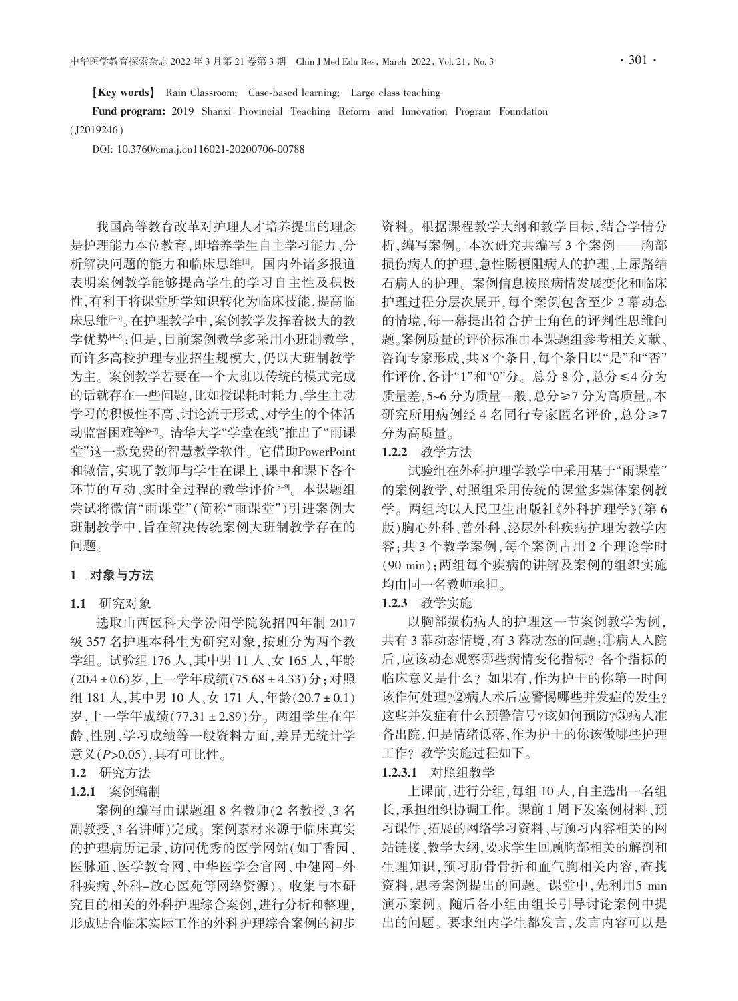[Key words] Rain Classroom; Case-based learning; Large class teaching

Fund program: 2019 Shanxi Provincial Teaching Reform and Innovation Program Foundation  $(12019246)$ 

DOI: 10.3760/cma.j.cn116021-20200706-00788

我国高等教育改革对护理人才培养提出的理念 是护理能力本位教育,即培养学生自主学习能力、分 析解决问题的能力和临床思维叫。国内外诸多报道 表明案例教学能够提高学生的学习自主性及积极 性,有利于将课堂所学知识转化为临床技能,提高临 床思维[2-3]。在护理教学中,案例教学发挥着极大的教 学优势14-51:但是,目前案例教学多采用小班制教学, 而许多高校护理专业招生规模大,仍以大班制教学 为主。案例教学若要在一个大班以传统的模式完成 的话就存在一些问题,比如授课耗时耗力、学生主动 学习的积极性不高、讨论流于形式、对学生的个体活 动监督困难等吗。清华大学"学堂在线"推出了"雨课 堂"这一款免费的智慧教学软件。它借助PowerPoint 和微信,实现了教师与学生在课上、课中和课下各个 环节的互动、实时全过程的教学评价<sup>8-9</sup>。本课题组 尝试将微信"雨课堂"(简称"雨课堂")引进案例大 班制教学中,旨在解决传统案例大班制教学存在的 问题。

#### 1 对象与方法

### 1.1 研究对象

选取山西医科大学汾阳学院统招四年制 2017 级 357 名护理本科生为研究对象,按班分为两个教 学组。试验组 176人,其中男 11人、女 165人,年龄 (20.4±0.6)岁,上一学年成绩(75.68±4.33)分;对照 组 181 人,其中男 10 人、女 171 人,年龄(20.7 ± 0.1) 岁,上一学年成绩(77.31±2.89)分。两组学生在年 龄、性别、学习成绩等一般资料方面,差异无统计学 意义(P>0.05),具有可比性。

# 1.2 研究方法

#### 1.2.1 案例编制

案例的编写由课题组 8 名教师(2 名教授、3 名 副教授、3名讲师)完成。案例素材来源于临床真实 的护理病历记录,访问优秀的医学网站(如丁香园、 医脉通、医学教育网、中华医学会官网、中健网-外 科疾病、外科-放心医苑等网络资源)。收集与本研 究目的相关的外科护理综合案例,进行分析和整理, 形成贴合临床实际工作的外科护理综合案例的初步 资料。根据课程教学大纲和教学目标,结合学情分 析,编写案例。本次研究共编写3个案例——胸部 损伤病人的护理、急性肠梗阻病人的护理、上尿路结 石病人的护理。案例信息按照病情发展变化和临床 护理过程分层次展开,每个案例包含至少2幕动态 的情境,每一幕提出符合护士角色的评判性思维问 题。案例质量的评价标准由本课题组参考相关文献、 咨询专家形成,共8个条目,每个条目以"是"和"否" 作评价,各计"1"和"0"分。总分8分,总分≤4分为 质量差.5~6分为质量一般.总分≥7分为高质量。本 研究所用病例经4名同行专家匿名评价,总分≥7 分为高质量。

## 1.2.2 教学方法

试验组在外科护理学教学中采用基于"雨课堂" 的案例教学,对照组采用传统的课堂多媒体案例教 学。两组均以人民卫生出版社《外科护理学》(第6 版)胸心外科、普外科、泌尿外科疾病护理为教学内 容:共3个教学案例.每个案例占用2个理论学时 (90 min): 两组每个疾病的讲解及案例的组织实施 均由同一名教师承担。

### 1.2.3 教学实施

以胸部损伤病人的护理这一节案例教学为例, 共有3幕动态情境,有3幕动态的问题:①病人入院 后,应该动态观察哪些病情变化指标?各个指标的 临床意义是什么?如果有,作为护士的你第一时间 该作何处理?②病人术后应警惕哪些并发症的发生? 这些并发症有什么预警信号?该如何预防?③病人准 备出院,但是情绪低落,作为护士的你该做哪些护理 工作? 教学实施过程如下。

#### 1.2.3.1 对照组教学

上课前,进行分组,每组10人,自主选出一名组 长,承担组织协调工作。课前1周下发案例材料、预 习课件、拓展的网络学习资料、与预习内容相关的网 站链接、教学大纲.要求学生回顾胸部相关的解剖和 生理知识,预习肋骨骨折和血气胸相关内容,查找 资料,思考案例提出的问题。课堂中,先利用5 min 演示案例。随后各小组由组长引导讨论案例中提 出的问题。要求组内学生都发言,发言内容可以是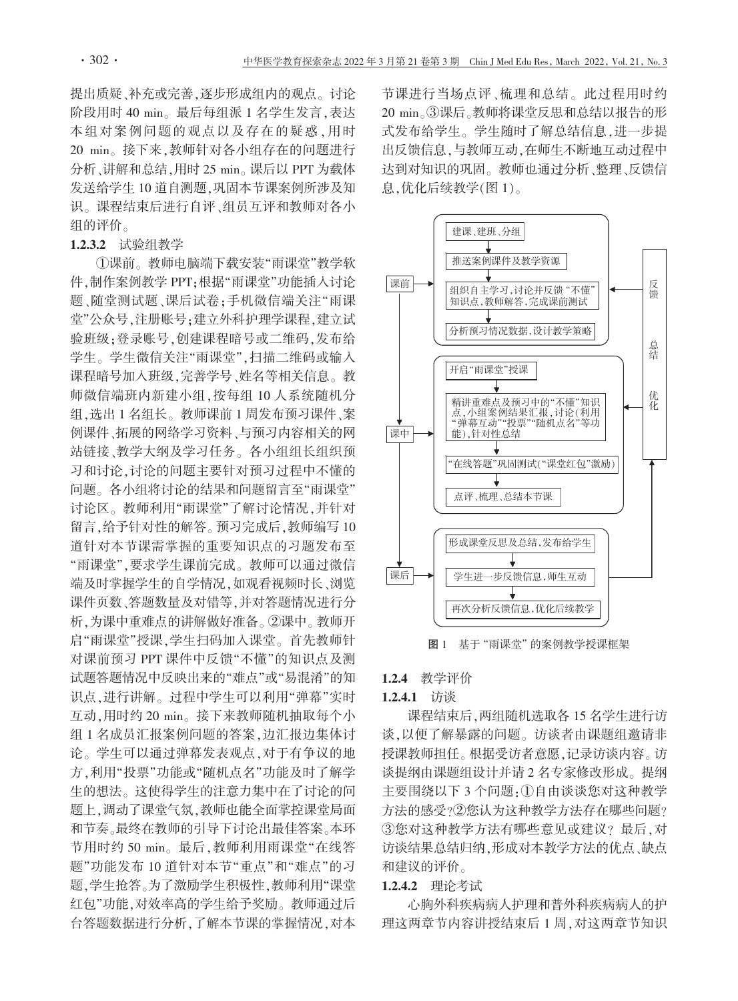提出质疑、补充或完善,逐步形成组内的观点。讨论 阶段用时 40 min。最后每组派 1 名学生发言, 表达 本组对案例问题的观点以及存在的疑惑,用时 20 min。接下来,教师针对各小组存在的问题进行 分析、讲解和总结,用时 25 min。课后以 PPT 为载体 发送给学生10 道自测题,巩固本节课案例所涉及知 识。课程结束后进行自评、组员互评和教师对各小 组的评价。

## 1.2.3.2 试验组教学

①课前。教师电脑端下载安装"雨课堂"教学软 件,制作案例教学 PPT:根据"雨课堂"功能插入讨论 题、随堂测试题、课后试卷:手机微信端关注"雨课 堂"公众号,注册账号;建立外科护理学课程,建立试 验班级;登录账号,创建课程暗号或二维码,发布给 学生。学生微信关注"雨课堂",扫描二维码或输入 课程暗号加入班级,完善学号、姓名等相关信息。教 师微信端班内新建小组,按每组10人系统随机分 组,选出1名组长。教师课前1周发布预习课件、案 例课件、拓展的网络学习资料、与预习内容相关的网 站链接、教学大纲及学习任务。各小组组长组织预 习和讨论,讨论的问题主要针对预习过程中不懂的 问题。各小组将讨论的结果和问题留言至"雨课堂" 讨论区。教师利用"雨课堂"了解讨论情况,并针对 留言,给予针对性的解答。预习完成后,教师编写10 道针对本节课需掌握的重要知识点的习题发布至 "雨课堂",要求学生课前完成。教师可以通过微信 端及时掌握学生的自学情况,如观看视频时长、浏览 课件页数、答题数量及对错等,并对答题情况进行分 析,为课中重难点的讲解做好准备。②课中。教师开 启"雨课堂"授课,学生扫码加入课堂。首先教师针 对课前预习 PPT 课件中反馈"不懂"的知识点及测 试题答题情况中反映出来的"难点"或"易混淆"的知 识点,进行讲解。过程中学生可以利用"弹幕"实时 互动,用时约 20 min。接下来教师随机抽取每个小 组 1 名成员汇报案例问题的答案,边汇报边集体讨 论。学生可以通过弹幕发表观点,对于有争议的地 方,利用"投票"功能或"随机点名"功能及时了解学 生的想法。这使得学生的注意力集中在了讨论的问 题上,调动了课堂气氛,教师也能全面掌控课堂局面 和节奏。最终在教师的引导下讨论出最佳答案。本环 节用时约 50 min。最后,教师利用雨课堂"在线答 题"功能发布 10 道针对本节"重点"和"难点"的习 题,学生抢答。为了激励学生积极性,教师利用"课堂 红包"功能,对效率高的学生给予奖励。教师通过后 台答题数据进行分析,了解本节课的掌握情况,对本 节课进行当场点评、梳理和总结。此过程用时约 20 min。③课后。教师将课堂反思和总结以报告的形 式发布给学生。学生随时了解总结信息,进一步提 出反馈信息,与教师互动,在师生不断地互动过程中 达到对知识的巩固。教师也通过分析、整理、反馈信 息,优化后续教学(图1)。



图 1 基于"雨课堂"的案例教学授课框架

#### 1.2.4 教学评价

### 1.2.4.1 访谈

课程结束后,两组随机选取各 15 名学生进行访 谈,以便了解暴露的问题。访谈者由课题组邀请非 授课教师担任。根据受访者意愿,记录访谈内容。访 谈提纲由课题组设计并请2名专家修改形成。提纲 主要围绕以下 3 个问题:1自由谈谈您对这种教学 方法的感受?②您认为这种教学方法存在哪些问题? 3您对这种教学方法有哪些意见或建议?最后,对 访谈结果总结归纳,形成对本教学方法的优点、缺点 和建议的评价。

## 1.2.4.2 理论考试

心胸外科疾病病人护理和普外科疾病病人的护 理这两章节内容讲授结束后1周,对这两章节知识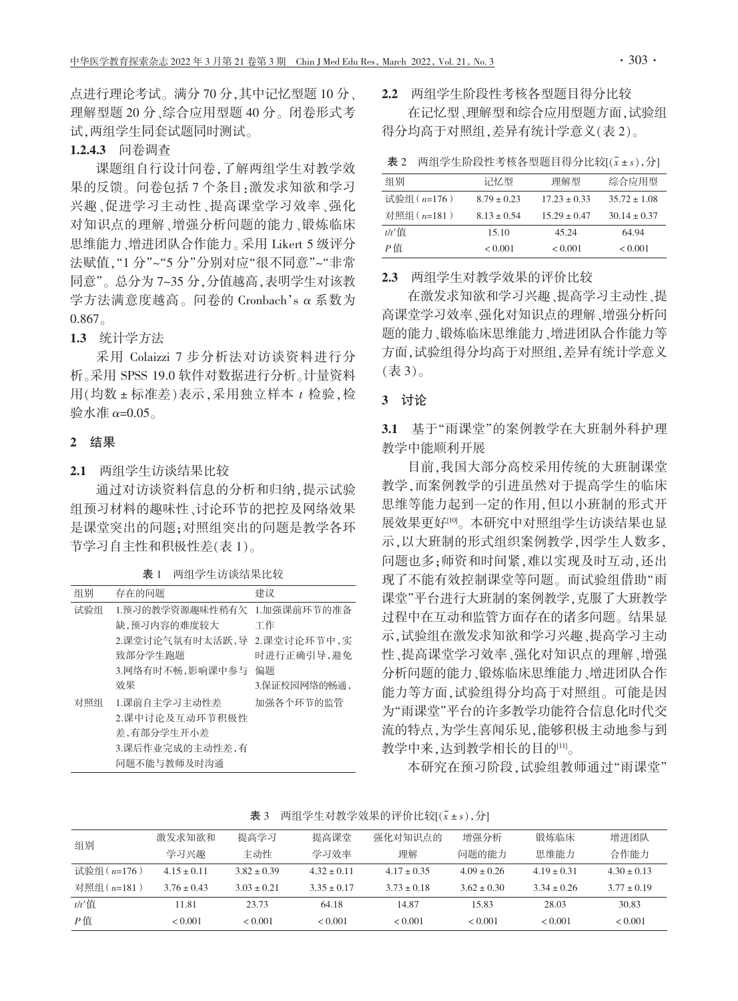点进行理论考试。满分70分,其中记忆型题10分、 理解型题 20分、综合应用型题 40分。闭卷形式考 试,两组学生同套试题同时测试。

# 1.2.4.3 问卷调杳

课题组自行设计问卷,了解两组学生对教学效 果的反馈。问卷包括7个条目:激发求知欲和学习 兴趣、促进学习主动性、提高课堂学习效率、强化 对知识点的理解、增强分析问题的能力、锻炼临床 思维能力、增进团队合作能力。采用 Likert 5 级评分 法赋值,"1分"~"5分"分别对应"很不同意"~"非常 同意"。总分为7~35分.分值越高.表明学生对该教 学方法满意度越高。问卷的 Cronbach's α 系数为  $0.867$ 

## 1.3 统计学方法

采用 Colaizzi 7 步分析法对访谈资料进行分 析。采用 SPSS 19.0 软件对数据进行分析。计量资料 用(均数±标准差)表示,采用独立样本 t 检验,检 验水准  $α=0.05$ 。

## 2 结果

2.1 两组学生访谈结果比较

通过对访谈资料信息的分析和归纳,提示试验 组预习材料的趣味性、讨论环节的把控及网络效果 是课堂突出的问题:对照组突出的问题是教学各环 节学习自主性和积极性差(表1)。

| 表 1 | 两组学生访谈结果比较 |
|-----|------------|
|     |            |

| 组别  | 存在的问题           | 建议            |
|-----|-----------------|---------------|
| 试验组 | 1.预习的教学资源趣味性稍有欠 | 1.加强课前环节的准备   |
|     | 缺,预习内容的难度较大     | 工作            |
|     | 2.课堂讨论气氛有时太活跃,导 | 2. 课堂讨论环节中, 实 |
|     | 致部分学生跑题         | 时进行正确引导,避免    |
|     | 3.网络有时不畅,影响课中参与 | 偏题            |
|     | 效果              | 3.保证校园网络的畅通.  |
| 对照组 | 1.课前自主学习主动性差    | 加强各个环节的监管     |
|     | 2.课中讨论及互动环节积极性  |               |
|     | 差,有部分学生开小差      |               |
|     | 3.课后作业完成的主动性差,有 |               |
|     | 问题不能与教师及时沟通     |               |

2.2 两组学生阶段性考核各型题目得分比较

在记忆型、理解型和综合应用型题方面,试验组 得分均高于对照组,差异有统计学意义(表2)。

表 2 两组学生阶段性考核各型题目得分比较[(x ± s), 分]

| 组别          | 记忆型          | 理解型          | 综合应用型            |
|-------------|--------------|--------------|------------------|
| 试验组 (n=176) | $879 + 0.23$ | $1723 + 033$ | $3572 + 108$     |
| 对照组 (n=181) | $813 + 0.54$ | $1529 + 047$ | $30.14 \pm 0.37$ |
| $t/t$ '信    | 15.10        | 45.24        | 64 94            |
| P值          | < 0.001      | $\leq 0.001$ | $<$ 0.001        |

2.3 两组学生对教学效果的评价比较

在激发求知欲和学习兴趣、提高学习主动性、提 高课堂学习效率、强化对知识点的理解、增强分析问 题的能力、锻炼临床思维能力、增进团队合作能力等 方面,试验组得分均高于对照组,差异有统计学意义  $(\bar{\mathbb{R}}3)$ 。

# 3 讨论

3.1 基于"雨课堂"的案例教学在大班制外科护理 教学中能顺利开展

目前,我国大部分高校采用传统的大班制课堂 教学,而案例教学的引进虽然对于提高学生的临床 思维等能力起到一定的作用,但以小班制的形式开 展效果更好吗。本研究中对照组学生访谈结果也显 示,以大班制的形式组织案例教学,因学生人数多, 问题也多:师资和时间紧,难以实现及时互动,还出 现了不能有效控制课堂等问题。而试验组借助"雨 课堂"平台进行大班制的案例教学,克服了大班教学 过程中在互动和监管方面存在的诸多问题。结果显 示,试验组在激发求知欲和学习兴趣、提高学习主动 性、提高课堂学习效率、强化对知识点的理解、增强 分析问题的能力、锻炼临床思维能力、增进团队合作 能力等方面,试验组得分均高于对照组。可能是因 为"雨课堂"平台的许多教学功能符合信息化时代交 流的特点,为学生喜闻乐见,能够积极主动地参与到 教学中来,达到教学相长的目的[1]。

本研究在预习阶段,试验组教师通过"雨课堂"

表 3 两组学生对教学效果的评价比较[(x ± s), 分]

| 组别          | 激发求知欲和          | 提高学习            | 提高课堂            | 强化对知识点的         | 增强分析            | 锻炼临床            | 增讲团队            |
|-------------|-----------------|-----------------|-----------------|-----------------|-----------------|-----------------|-----------------|
|             | 学习兴趣            | 主动性             | 学习效率            | 理解              | 问题的能力           | 思维能力            | 合作能力            |
| 试验组 (n=176) | $4.15 \pm 0.11$ | $3.82 + 0.39$   | $4.32 + 0.11$   | $4.17 \pm 0.35$ | $4.09 \pm 0.26$ | $4.19 \pm 0.31$ | $4.30 \pm 0.13$ |
| 对照组 (n=181) | $3.76 \pm 0.43$ | $3.03 \pm 0.21$ | $3.35 \pm 0.17$ | $3.73 \pm 0.18$ | $3.62 \pm 0.30$ | $3.34 \pm 0.26$ | $3.77 \pm 0.19$ |
| $t/t$ '值    | 11.81           | 23.73           | 64.18           | 14.87           | 15.83           | 28.03           | 30.83           |
| $P$ 值       | < 0.001         | < 0.001         | < 0.001         | < 0.001         | < 0.001         | < 0.001         | < 0.001         |